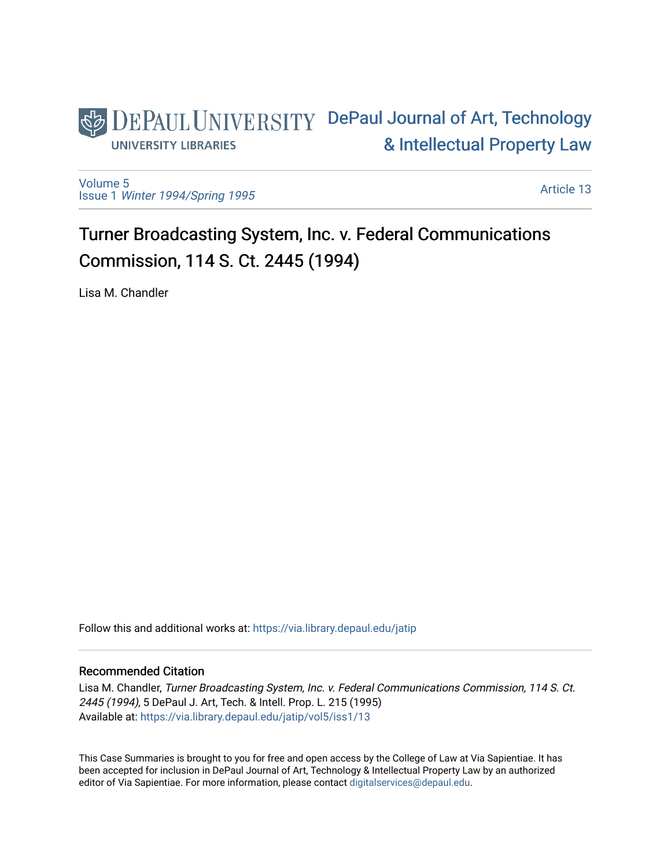

[Volume 5](https://via.library.depaul.edu/jatip/vol5) Issue 1 [Winter 1994/Spring 1995](https://via.library.depaul.edu/jatip/vol5/iss1)

[Article 13](https://via.library.depaul.edu/jatip/vol5/iss1/13) 

Turner Broadcasting System, Inc. v. Federal Communications Commission, 114 S. Ct. 2445 (1994)

Lisa M. Chandler

Follow this and additional works at: [https://via.library.depaul.edu/jatip](https://via.library.depaul.edu/jatip?utm_source=via.library.depaul.edu%2Fjatip%2Fvol5%2Fiss1%2F13&utm_medium=PDF&utm_campaign=PDFCoverPages)

## Recommended Citation

Lisa M. Chandler, Turner Broadcasting System, Inc. v. Federal Communications Commission, 114 S. Ct. 2445 (1994), 5 DePaul J. Art, Tech. & Intell. Prop. L. 215 (1995) Available at: [https://via.library.depaul.edu/jatip/vol5/iss1/13](https://via.library.depaul.edu/jatip/vol5/iss1/13?utm_source=via.library.depaul.edu%2Fjatip%2Fvol5%2Fiss1%2F13&utm_medium=PDF&utm_campaign=PDFCoverPages) 

This Case Summaries is brought to you for free and open access by the College of Law at Via Sapientiae. It has been accepted for inclusion in DePaul Journal of Art, Technology & Intellectual Property Law by an authorized editor of Via Sapientiae. For more information, please contact [digitalservices@depaul.edu](mailto:digitalservices@depaul.edu).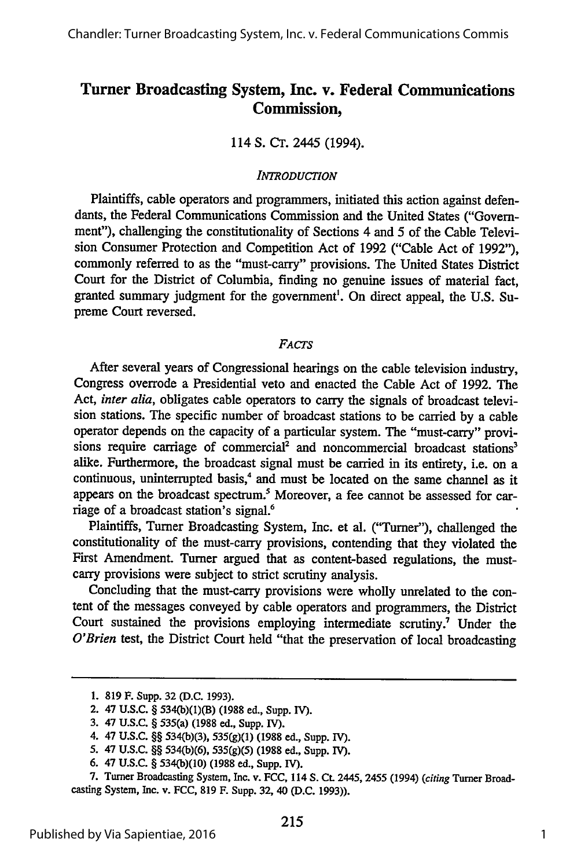# **Turner Broadcasting System, Inc. v. Federal Communications Commission,**

114 S. CT. 2445 (1994).

### *INTRODUCTION*

Plaintiffs, cable operators and programmers, initiated this action against defendants, the Federal Communications Commission and the United States ("Government"), challenging the constitutionality of Sections 4 and 5 of the Cable Television Consumer Protection and Competition Act of 1992 ("Cable Act of 1992"), commonly referred to as the "must-carry" provisions. The United States District Court for the District of Columbia, finding no genuine issues of material fact, granted summary judgment for the government'. On direct appeal, the U.S. Supreme Court reversed.

## *FACTS*

After several years of Congressional hearings on the cable television industry, Congress overrode a Presidential veto and enacted the Cable Act of **1992.** The Act, *inter alia,* obligates cable operators to carry the signals of broadcast television stations. The specific number of broadcast stations to be carried **by** a cable operator depends on the capacity of a particular system. The "must-carry" provisions require carriage of commercial<sup>2</sup> and noncommercial broadcast stations<sup>3</sup> alike. Furthermore, the broadcast signal must be carried in its entirety, i.e. on a continuous, uninterrupted basis,<sup>4</sup> and must be located on the same channel as it appears on the broadcast spectrum.<sup>5</sup> Moreover, a fee cannot be assessed for carriage of a broadcast station's signal.<sup>6</sup>

Plaintiffs, Turner Broadcasting System, Inc. et al. ("Turner"), challenged the constitutionality of the must-carry provisions, contending that they violated the First Amendment. Turner argued that as content-based regulations, the mustcarry provisions were subject to strict scrutiny analysis.

Concluding that the must-carry provisions were wholly unrelated to the content of the messages conveyed **by** cable operators and programmers, the District Court sustained the provisions employing intermediate scrutiny.<sup>7</sup> Under the *O'Brien* test, the District Court held "that the preservation of local broadcasting

**<sup>1. 819</sup> F. Supp. 32 (D.C. 1993).**

<sup>2. 47</sup> **U.S.C.** § **534(b)(1)(B) (1988 ed., Supp. IV).**

**<sup>3.</sup>** 47 **U.S.C.** § **535(a) (1988 ed., Supp. IV).**

<sup>4. 47</sup> **U.S.C.** §§ 534(b)(3), 5 3 5 (g)(1) (1988 ed., **Supp. IV).**

**<sup>5.</sup>** 47 **U.S.C.** §§ **534(b)(6), 535(g)(5) (1988** ed., **Supp. V).**

**<sup>6.</sup>** 47 **U.S.C.** § 534(b)(10) (1988 ed., **Supp.** IV).

**<sup>7.</sup>** Turner Broadcasting System, Inc. v. FCC, 114 S. Ct. 2445, 2455 (1994) (citing Turner Broadcasting System, Inc. v. **FCC, 819** F. Supp. **32,** 40 **(D.C. 1993)).**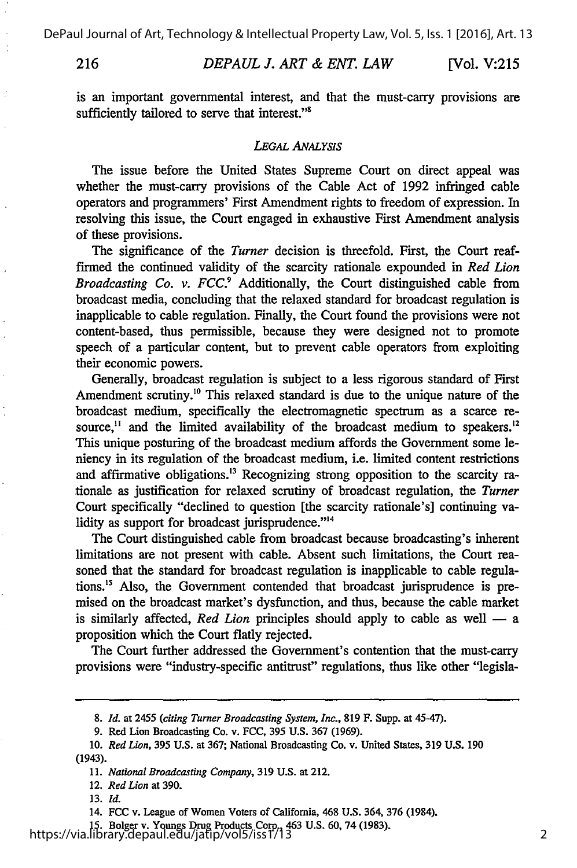**216** *DEPAUL J. ART & ENT. LAW* [Vol. V:21:

is an important governmental interest, and that the must-carry provisions are sufficiently tailored to serve that interest."<sup>8</sup>

#### *LEGAL ANALYSIS*

The issue before the United States Supreme Court on direct appeal was whether the must-carry provisions of the Cable Act of 1992 infringed cable operators and programmers' First Amendment rights to freedom of expression. In resolving this issue, the Court engaged in exhaustive First Amendment analysis of these provisions.

The significance of the *Turner* decision is threefold. First, the Court reaffirmed the continued validity of the scarcity rationale expounded in *Red Lion Broadcasting Co. v. FCC.9* Additionally, the Court distinguished cable from broadcast media, concluding that the relaxed standard for broadcast regulation is inapplicable to cable regulation. Finally, the Court found the provisions were not content-based, thus permissible, because they were designed not to promote speech of a particular content, but to prevent cable operators from exploiting their economic powers.

Generally, broadcast regulation is subject to a less rigorous standard of First Amendment scrutiny.<sup>10</sup> This relaxed standard is due to the unique nature of the broadcast medium, specifically the electromagnetic spectrum as a scarce resource,<sup>11</sup> and the limited availability of the broadcast medium to speakers.<sup>12</sup> This unique posturing of the broadcast medium affords the Government some leniency in its regulation of the broadcast medium, i.e. limited content restrictions and affirmative obligations.<sup>13</sup> Recognizing strong opposition to the scarcity rationale as justification for relaxed scrutiny of broadcast regulation, the *Turner* Court specifically "declined to question [the scarcity rationale's] continuing validity as support for broadcast jurisprudence."<sup>14</sup>

The Court distinguished cable from broadcast because broadcasting's inherent limitations are not present with cable. Absent such limitations, the Court reasoned that the standard for broadcast regulation is inapplicable to cable regulations.<sup>15</sup> Also, the Government contended that broadcast jurisprudence is premised on the broadcast market's dysfunction, and thus, because the cable market is similarly affected, *Red Lion* principles should apply to cable as well **-** a proposition which the Court flatly rejected.

The Court further addressed the Government's contention that the must-carry provisions were "industry-specific antitrust" regulations, thus like other "legisla-

*<sup>8.</sup> Id.* at 2455 *(citing Turner Broadcasting System, Inc.,* **819** F. Supp. at 45-47).

**<sup>9.</sup>** Red Lion Broadcasting Co. v. FCC, **395** U.S. 367 (1969).

**<sup>10.</sup>** *Red Lion,* **395 U.S.** at **367;** National Broadcasting Co. v. United States, **319 U.S. 190** (1943).

**<sup>11.</sup>** *National Broadcasting Company,* **319** U.S. at 212.

<sup>12.</sup> *Red Lion* at **390.**

**<sup>13.</sup>** *Id.*

**<sup>14.</sup> FCC** v. League of Women Voters of California, 468 **U.S.** 364, **376** (1984).

**<sup>15.</sup>** Bolger v. Youngs Drug Products Corp., 463 **U.S. 60,** 74 **(1983).** https://via.library.depaul.edu/jatip/vol5/iss1/13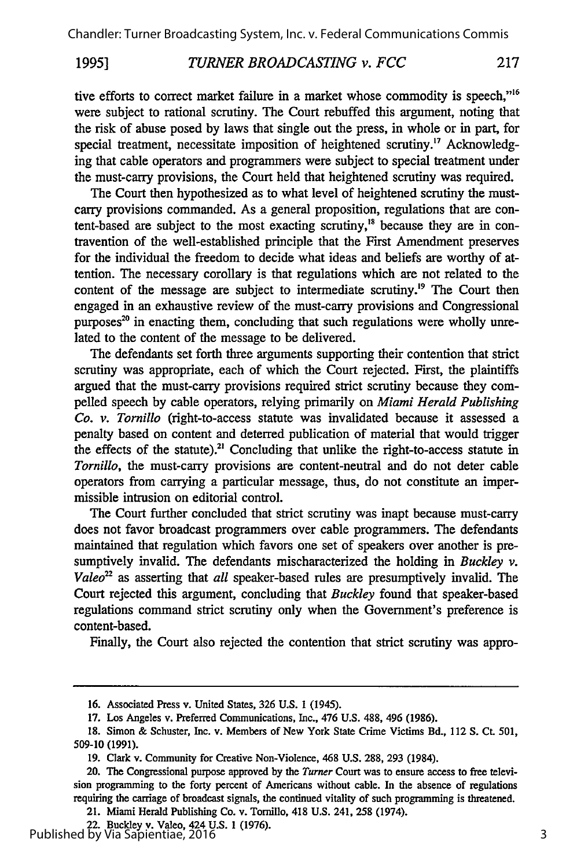#### *TURNER BROADCASTING v. FCC* 217 **1995]**

tive efforts to correct market failure in a market whose commodity is speech,"'<sup>6</sup> were subject to rational scrutiny. The Court rebuffed this argument, noting that the risk of abuse posed by laws that single out the press, in whole or in part, for special treatment, necessitate imposition of heightened scrutiny.<sup>17</sup> Acknowledging that cable operators and programmers were subject to special treatment under the must-carry provisions, the Court held that heightened scrutiny was required.

The Court then hypothesized as to what level of heightened scrutiny the mustcarry provisions commanded. As a general proposition, regulations that are content-based are subject to the most exacting scrutiny," because they are in contravention of the well-established principle that the First Amendment preserves for the individual the freedom to decide what ideas and beliefs are worthy of attention. The necessary corollary is that regulations which are not related to the content of the message are subject to intermediate scrutiny.<sup>19</sup> The Court then engaged in an exhaustive review of the must-carry provisions and Congressional purposes $^{20}$  in enacting them, concluding that such regulations were wholly unrelated to the content of the message to be delivered.

The defendants set forth three arguments supporting their contention that strict scrutiny was appropriate, each of which the Court rejected. First, the plaintiffs argued that the must-carry provisions required strict scrutiny because they compelled speech by cable operators, relying primarily on *Miami Herald Publishing Co. v. Tornillo* (right-to-access statute was invalidated because it assessed a penalty based on content and deterred publication of material that would trigger the effects of the statute).<sup>21</sup> Concluding that unlike the right-to-access statute in *Tornillo,* the must-carry provisions are content-neutral and do not deter cable operators from carrying a particular message, thus, do not constitute an impermissible intrusion on editorial control.

The Court further concluded that strict scrutiny was inapt because must-carry does not favor broadcast programmers over cable programmers. The defendants maintained that regulation which favors one set of speakers over another is presumptively invalid. The defendants mischaracterized the holding in *Buckley v. Valeo*<sup>22</sup> as asserting that *all* speaker-based rules are presumptively invalid. The Court rejected this argument, concluding that *Buckley* found that speaker-based regulations command strict scrutiny only when the Government's preference is content-based.

Finally, the Court also rejected the contention that strict scrutiny was appro-

21. Miami Herald Publishing Co. v. Tornillo, 418 U.S. 241, 258 (1974).

<sup>16.</sup> Associated Press v. United States, 326 U.S. 1 (1945).

<sup>17.</sup> Los Angeles v. Preferred Communications, Inc., 476 U.S. 488, 496 (1986).

<sup>18.</sup> Simon & Schuster, Inc. v. Members of New York State Crime Victims Bd., 112 S. Ct. 501, 509-10 (1991).

<sup>19.</sup> Clark v. Community for Creative Non-Violence, 468 U.S. 288, 293 (1984).

<sup>20.</sup> The Congressional purpose approved **by** the *Turner* Court was to ensure access to free television programming to the forty percent of Americans without cable. In the absence of regulations requiring the carriage of broadcast signals, the continued vitality of such programming is threatened.

<sup>22.</sup> Buckley v. Valeo, 424 U.S. 1 (1976). Published by Via Sapientiae, 2016